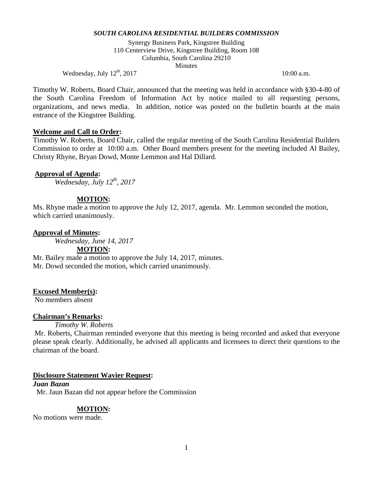Synergy Business Park, Kingstree Building 110 Centerview Drive, Kingstree Building, Room 108 Columbia, South Carolina 29210 Minutes

Wednesday, July  $12^{\text{th}}$ ,  $2017$  10:00 a.m.

Timothy W. Roberts, Board Chair, announced that the meeting was held in accordance with §30-4-80 of the South Carolina Freedom of Information Act by notice mailed to all requesting persons, organizations, and news media. In addition, notice was posted on the bulletin boards at the main entrance of the Kingstree Building.

### **Welcome and Call to Order:**

Timothy W. Roberts, Board Chair, called the regular meeting of the South Carolina Residential Builders Commission to order at 10:00 a.m. Other Board members present for the meeting included Al Bailey, Christy Rhyne, Bryan Dowd, Monte Lemmon and Hal Dillard.

### **Approval of Agenda:**

*Wednesday, July 12th, 2017*

## **MOTION:**

Ms. Rhyne made a motion to approve the July 12, 2017, agenda. Mr. Lemmon seconded the motion, which carried unanimously.

### **Approval of Minutes:**

*Wednesday, June 14, 2017*

**MOTION:**

Mr. Bailey made a motion to approve the July 14, 2017, minutes. Mr. Dowd seconded the motion, which carried unanimously.

#### **Excused Member(s):**

No members absent

#### **Chairman's Remarks:**

*Timothy W. Roberts* 

Mr. Roberts, Chairman reminded everyone that this meeting is being recorded and asked that everyone please speak clearly. Additionally, he advised all applicants and licensees to direct their questions to the chairman of the board.

#### **Disclosure Statement Wavier Request:**

*Juan Bazan* Mr. Jaun Bazan did not appear before the Commission

#### **MOTION:**

No motions were made.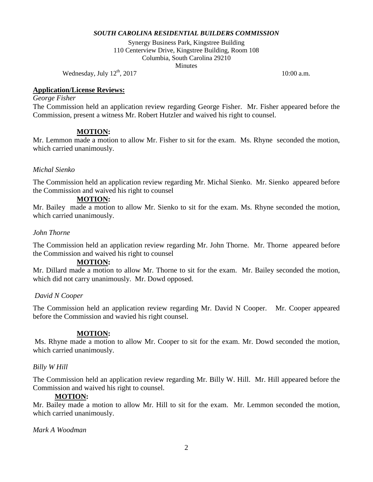Synergy Business Park, Kingstree Building 110 Centerview Drive, Kingstree Building, Room 108 Columbia, South Carolina 29210 **Minutes** 

Wednesday, July  $12^{th}$ , 2017 10:00 a.m.

# **Application/License Reviews:**

### *George Fisher*

The Commission held an application review regarding George Fisher. Mr. Fisher appeared before the Commission, present a witness Mr. Robert Hutzler and waived his right to counsel.

## **MOTION:**

Mr. Lemmon made a motion to allow Mr. Fisher to sit for the exam. Ms. Rhyne seconded the motion, which carried unanimously.

# *Michal Sienko*

The Commission held an application review regarding Mr. Michal Sienko. Mr. Sienko appeared before the Commission and waived his right to counsel

# **MOTION:**

Mr. Bailey made a motion to allow Mr. Sienko to sit for the exam. Ms. Rhyne seconded the motion, which carried unanimously.

## *John Thorne*

The Commission held an application review regarding Mr. John Thorne. Mr. Thorne appeared before the Commission and waived his right to counsel

## **MOTION:**

Mr. Dillard made a motion to allow Mr. Thorne to sit for the exam. Mr. Bailey seconded the motion, which did not carry unanimously. Mr. Dowd opposed.

## *David N Cooper*

The Commission held an application review regarding Mr. David N Cooper. Mr. Cooper appeared before the Commission and wavied his right counsel.

## **MOTION:**

Ms. Rhyne made a motion to allow Mr. Cooper to sit for the exam. Mr. Dowd seconded the motion, which carried unanimously.

## *Billy W Hill*

The Commission held an application review regarding Mr. Billy W. Hill. Mr. Hill appeared before the Commission and waived his right to counsel.

## **MOTION:**

Mr. Bailey made a motion to allow Mr. Hill to sit for the exam. Mr. Lemmon seconded the motion, which carried unanimously.

## *Mark A Woodman*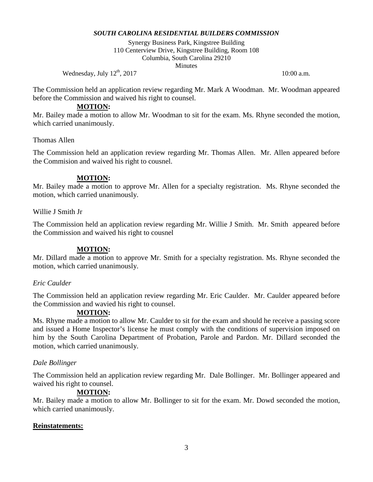Synergy Business Park, Kingstree Building 110 Centerview Drive, Kingstree Building, Room 108 Columbia, South Carolina 29210 **Minutes** 

Wednesday, July  $12^{\text{th}}$ , 2017 10:00 a.m.

The Commission held an application review regarding Mr. Mark A Woodman. Mr. Woodman appeared before the Commission and waived his right to counsel.

### **MOTION:**

Mr. Bailey made a motion to allow Mr. Woodman to sit for the exam. Ms. Rhyne seconded the motion, which carried unanimously.

## Thomas Allen

The Commission held an application review regarding Mr. Thomas Allen. Mr. Allen appeared before the Commision and waived his right to cousnel.

### **MOTION:**

Mr. Bailey made a motion to approve Mr. Allen for a specialty registration. Ms. Rhyne seconded the motion, which carried unanimously.

Willie J Smith Jr

The Commission held an application review regarding Mr. Willie J Smith. Mr. Smith appeared before the Commission and waived his right to cousnel

## **MOTION:**

Mr. Dillard made a motion to approve Mr. Smith for a specialty registration. Ms. Rhyne seconded the motion, which carried unanimously.

## *Eric Caulder*

The Commission held an application review regarding Mr. Eric Caulder. Mr. Caulder appeared before the Commission and wavied his right to counsel.

## **MOTION:**

Ms. Rhyne made a motion to allow Mr. Caulder to sit for the exam and should he receive a passing score and issued a Home Inspector's license he must comply with the conditions of supervision imposed on him by the South Carolina Department of Probation, Parole and Pardon. Mr. Dillard seconded the motion, which carried unanimously.

## *Dale Bollinger*

The Commission held an application review regarding Mr. Dale Bollinger. Mr. Bollinger appeared and waived his right to counsel.

## **MOTION:**

Mr. Bailey made a motion to allow Mr. Bollinger to sit for the exam. Mr. Dowd seconded the motion, which carried unanimously.

## **Reinstatements:**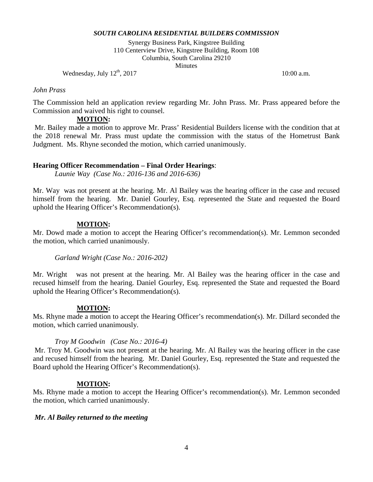Synergy Business Park, Kingstree Building 110 Centerview Drive, Kingstree Building, Room 108 Columbia, South Carolina 29210 **Minutes** 

Wednesday, July  $12^{th}$ , 2017 10:00 a.m.

### *John Prass*

The Commission held an application review regarding Mr. John Prass. Mr. Prass appeared before the Commission and waived his right to counsel.

### **MOTION:**

Mr. Bailey made a motion to approve Mr. Prass' Residential Builders license with the condition that at the 2018 renewal Mr. Prass must update the commission with the status of the Hometrust Bank Judgment. Ms. Rhyne seconded the motion, which carried unanimously.

## **Hearing Officer Recommendation – Final Order Hearings**:

*Launie Way (Case No.: 2016-136 and 2016-636)*

Mr. Way was not present at the hearing. Mr. Al Bailey was the hearing officer in the case and recused himself from the hearing. Mr. Daniel Gourley, Esq. represented the State and requested the Board uphold the Hearing Officer's Recommendation(s).

## **MOTION:**

Mr. Dowd made a motion to accept the Hearing Officer's recommendation(s). Mr. Lemmon seconded the motion, which carried unanimously.

*Garland Wright (Case No.: 2016-202)*

Mr. Wright was not present at the hearing. Mr. Al Bailey was the hearing officer in the case and recused himself from the hearing. Daniel Gourley, Esq. represented the State and requested the Board uphold the Hearing Officer's Recommendation(s).

#### **MOTION:**

Ms. Rhyne made a motion to accept the Hearing Officer's recommendation(s). Mr. Dillard seconded the motion, which carried unanimously.

#### *Troy M Goodwin (Case No.: 2016-4)*

Mr. Troy M. Goodwin was not present at the hearing. Mr. Al Bailey was the hearing officer in the case and recused himself from the hearing. Mr. Daniel Gourley, Esq. represented the State and requested the Board uphold the Hearing Officer's Recommendation(s).

## **MOTION:**

Ms. Rhyne made a motion to accept the Hearing Officer's recommendation(s). Mr. Lemmon seconded the motion, which carried unanimously.

#### *Mr. Al Bailey returned to the meeting*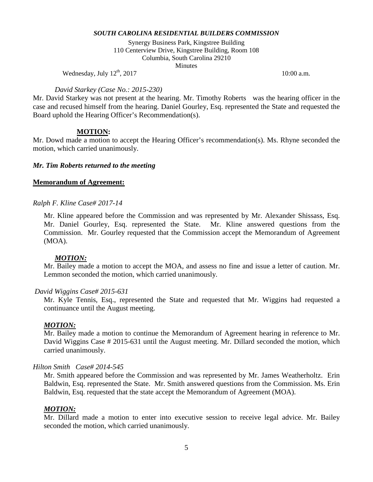Synergy Business Park, Kingstree Building 110 Centerview Drive, Kingstree Building, Room 108 Columbia, South Carolina 29210 **Minutes** 

Wednesday, July  $12^{th}$ ,  $2017$  10:00 a.m.

### *David Starkey (Case No.: 2015-230)*

Mr. David Starkey was not present at the hearing. Mr. Timothy Roberts was the hearing officer in the case and recused himself from the hearing. Daniel Gourley, Esq. represented the State and requested the Board uphold the Hearing Officer's Recommendation(s).

## **MOTION:**

Mr. Dowd made a motion to accept the Hearing Officer's recommendation(s). Ms. Rhyne seconded the motion, which carried unanimously.

## *Mr. Tim Roberts returned to the meeting*

### **Memorandum of Agreement:**

#### *Ralph F. Kline Case# 2017-14*

Mr. Kline appeared before the Commission and was represented by Mr. Alexander Shissass, Esq. Mr. Daniel Gourley, Esq. represented the State. Mr. Kline answered questions from the Commission. Mr. Gourley requested that the Commission accept the Memorandum of Agreement (MOA).

#### *MOTION:*

Mr. Bailey made a motion to accept the MOA, and assess no fine and issue a letter of caution. Mr. Lemmon seconded the motion, which carried unanimously.

#### *David Wiggins Case# 2015-631*

Mr. Kyle Tennis, Esq., represented the State and requested that Mr. Wiggins had requested a continuance until the August meeting.

#### *MOTION:*

Mr. Bailey made a motion to continue the Memorandum of Agreement hearing in reference to Mr. David Wiggins Case # 2015-631 until the August meeting. Mr. Dillard seconded the motion, which carried unanimously.

#### *Hilton Smith Case# 2014-545*

Mr. Smith appeared before the Commission and was represented by Mr. James Weatherholtz. Erin Baldwin, Esq. represented the State. Mr. Smith answered questions from the Commission. Ms. Erin Baldwin, Esq. requested that the state accept the Memorandum of Agreement (MOA).

## *MOTION:*

Mr. Dillard made a motion to enter into executive session to receive legal advice. Mr. Bailey seconded the motion, which carried unanimously.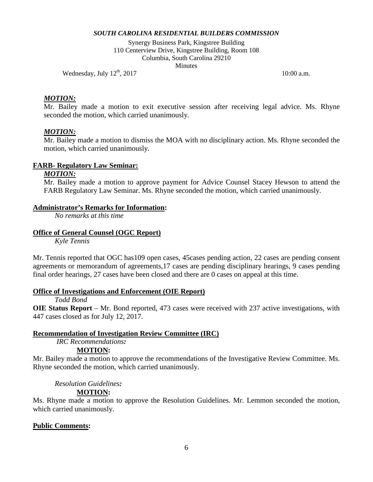Synergy Business Park, Kingstree Building 110 Centerview Drive, Kingstree Building, Room 108 Columbia, South Carolina 29210 **Minutes** 

Wednesday, July  $12^{th}$ , 2017 10:00 a.m.

# *MOTION:*

Mr. Bailey made a motion to exit executive session after receiving legal advice. Ms. Rhyne seconded the motion, which carried unanimously.

#### *MOTION:*

Mr. Bailey made a motion to dismiss the MOA with no disciplinary action. Ms. Rhyne seconded the motion, which carried unanimously.

### **FARB- Regulatory Law Seminar:**

## *MOTION:*

Mr. Bailey made a motion to approve payment for Advice Counsel Stacey Hewson to attend the FARB Regulatory Law Seminar. Ms. Rhyne seconded the motion, which carried unanimously.

#### **Administrator's Remarks for Information:**

*No remarks at this time*

#### **Office of General Counsel (OGC Report)**

*Kyle Tennis*

Mr. Tennis reported that OGC has109 open cases, 45cases pending action, 22 cases are pending consent agreements or memorandum of agreements,17 cases are pending disciplinary hearings, 9 cases pending final order hearings, 27 cases have been closed and there are 0 cases on appeal at this time.

#### **Office of Investigations and Enforcement (OIE Report)**

#### *Todd Bond*

**OIE Status Report** – Mr. Bond reported, 473 cases were received with 237 active investigations, with 447 cases closed as for July 12, 2017.

#### **Recommendation of Investigation Review Committee (IRC)**

*IRC Recommendations:*

#### **MOTION:**

Mr. Bailey made a motion to approve the recommendations of the Investigative Review Committee. Ms. Rhyne seconded the motion, which carried unanimously.

### *Resolution Guidelines:*

#### **MOTION:**

Ms. Rhyne made a motion to approve the Resolution Guidelines. Mr. Lemmon seconded the motion, which carried unanimously.

#### **Public Comments:**